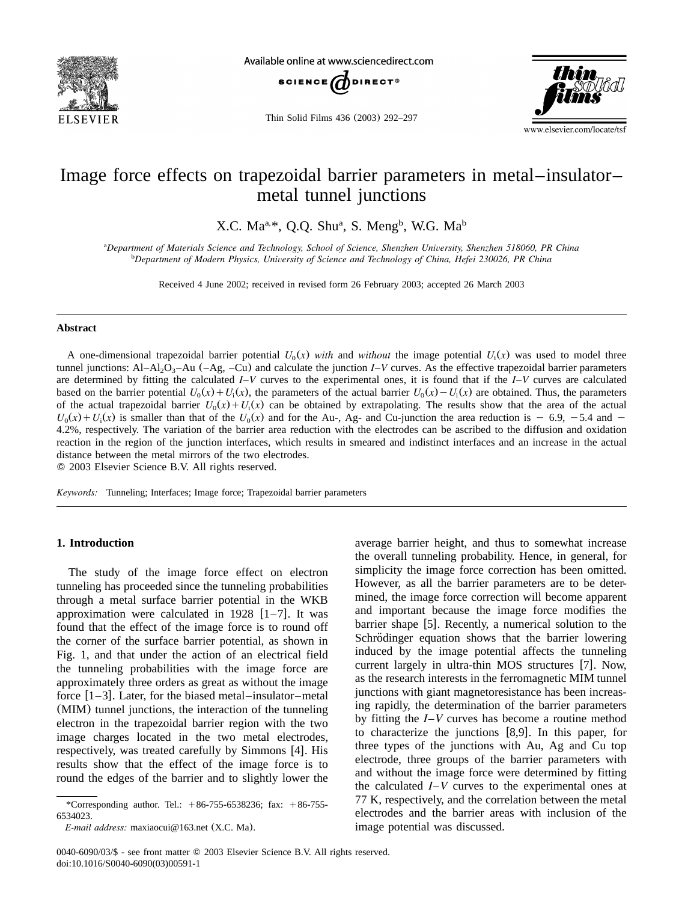

Available online at www.sciencedirect.com



Thin Solid Films 436 (2003) 292–297



# Image force effects on trapezoidal barrier parameters in metal–insulator– metal tunnel junctions

X.C. Ma<sup>a,\*</sup>, O.O. Shu<sup>a</sup>, S. Meng<sup>b</sup>, W.G. Ma<sup>b</sup>

*Department of Materials Science and Technology, School of Science, Shenzhen University, Shenzhen 518060, PR China* <sup>a</sup> *Department of Modern Physics, University of Science and Technology of China, Hefei 230026, PR China* <sup>b</sup>

Received 4 June 2002; received in revised form 26 February 2003; accepted 26 March 2003

#### **Abstract**

A one-dimensional trapezoidal barrier potential  $U_0(x)$  *with* and *without* the image potential  $U_i(x)$  was used to model three tunnel junctions: Al–Al<sub>2</sub>O<sub>3</sub>–Au (–Ag, –Cu) and calculate the junction *I–V* curves. As the effective trapezoidal barrier parameters are determined by fitting the calculated *I*–*V* curves to the experimental ones, it is found that if the *I*–*V* curves are calculated based on the barrier potential  $U_0(x) + U_1(x)$ , the parameters of the actual barrier  $U_0(x) - U_1(x)$  are obtained. Thus, the parameters of the actual trapezoidal barrier  $U_0(x) + U_1(x)$  can be obtained by extrapolating. The results show that the area of the actual  $U_0(x) + U_i(x)$  is smaller than that of the  $U_0(x)$  and for the Au-, Ag- and Cu-junction the area reduction is  $-6.9$ ,  $-5.4$  and  $-$ 4.2%, respectively. The variation of the barrier area reduction with the electrodes can be ascribed to the diffusion and oxidation reaction in the region of the junction interfaces, which results in smeared and indistinct interfaces and an increase in the actual distance between the metal mirrors of the two electrodes.

2003 Elsevier Science B.V. All rights reserved.

*Keywords:* Tunneling; Interfaces; Image force; Trapezoidal barrier parameters

# **1. Introduction**

The study of the image force effect on electron tunneling has proceeded since the tunneling probabilities through a metal surface barrier potential in the WKB approximation were calculated in 1928  $[1-7]$ . It was found that the effect of the image force is to round off the corner of the surface barrier potential, as shown in [Fig.1,](#page-1-0) and that under the action of an electrical field the tunneling probabilities with the image force are approximately three orders as great as without the image force  $[1-3]$ . Later, for the biased metal–insulator–metal (MIM) tunnel junctions, the interaction of the tunneling electron in the trapezoidal barrier region with the two image charges located in the two metal electrodes, respectively, was treated carefully by Simmons [[4](#page-5-0)]. His results show that the effect of the image force is to round the edges of the barrier and to slightly lower the

average barrier height, and thus to somewhat increase the overall tunneling probability. Hence, in general, for simplicity the image force correction has been omitted. However, as all the barrier parameters are to be determined, the image force correction will become apparent and important because the image force modifies the barrier shape  $[5]$  $[5]$  $[5]$ . Recently, a numerical solution to the Schrödinger equation shows that the barrier lowering induced by the image potential affects the tunneling current largely in ultra-thin MOS structures  $[7]$  $[7]$  $[7]$ . Now, as the research interests in the ferromagnetic MIM tunnel junctions with giant magnetoresistance has been increasing rapidly, the determination of the barrier parameters by fitting the *I*–*V* curves has become a routine method to characterize the junctions  $[8,9]$  $[8,9]$  $[8,9]$ . In this paper, for three types of the junctions with Au, Ag and Cu top electrode, three groups of the barrier parameters with and without the image force were determined by fitting the calculated  $I-V$  curves to the experimental ones at 77 K, respectively, and the correlation between the metal electrodes and the barrier areas with inclusion of the image potential was discussed.

<sup>\*</sup>Corresponding author. Tel.:  $+86-755-6538236$ ; fax:  $+86-755-$ 6534023.

*E-mail address:* maxiaocui@163.net (X.C. Ma).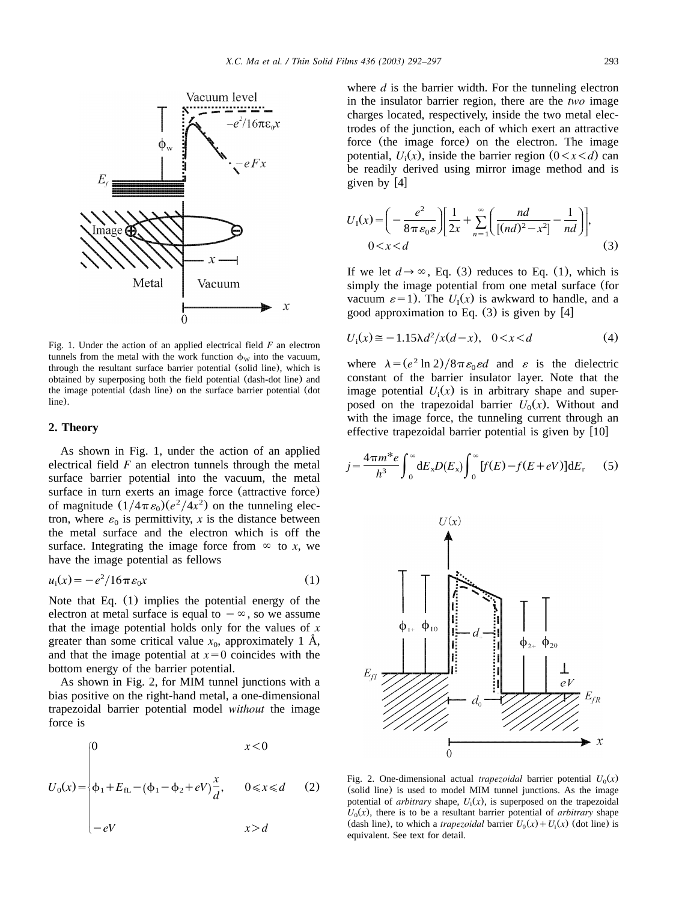<span id="page-1-0"></span>

Fig.1.Under the action of an applied electrical field *F* an electron tunnels from the metal with the work function  $\phi_W$  into the vacuum, through the resultant surface barrier potential (solid line), which is obtained by superposing both the field potential (dash-dot line) and the image potential (dash line) on the surface barrier potential (dot line).

## **2. Theory**

As shown in Fig.1, under the action of an applied electrical field *F* an electron tunnels through the metal surface barrier potential into the vacuum, the metal surface in turn exerts an image force (attractive force) of magnitude  $(1/4\pi \varepsilon_0)(e^2/4x^2)$  on the tunneling electron, where  $\varepsilon_0$  is permittivity, *x* is the distance between the metal surface and the electron which is off the surface. Integrating the image force from  $\infty$  to *x*, we have the image potential as fellows

$$
u_i(x) = -e^2/16\pi\varepsilon_0 x\tag{1}
$$

Note that Eq. (1) implies the potential energy of the electron at metal surface is equal to  $-\infty$ , so we assume that the image potential holds only for the values of *x* greater than some critical value  $x_0$ , approximately 1 Å, and that the image potential at  $x=0$  coincides with the bottom energy of the barrier potential.

As shown in Fig.2, for MIM tunnel junctions with a bias positive on the right-hand metal, a one-dimensional trapezoidal barrier potential model *without* the image force is

$$
U_0(x) = \begin{cases} 0 & x < 0 \\ \phi_1 + E_{\text{fL}} - (\phi_1 - \phi_2 + eV) \frac{x}{d}, & 0 \le x \le d \\ -eV & x > d \end{cases}
$$
 (2)

where  $d$  is the barrier width. For the tunneling electron in the insulator barrier region, there are the *two* image charges located, respectively, inside the two metal electrodes of the junction, each of which exert an attractive force (the image force) on the electron.The image potential,  $U_i(x)$ , inside the barrier region  $(0 \lt x \lt d)$  can be readily derived using mirror image method and is given by  $[4]$  $[4]$  $[4]$ 

$$
U_1(x) = \left(-\frac{e^2}{8\pi\varepsilon_0\varepsilon}\right) \left[\frac{1}{2x} + \sum_{n=1}^{\infty} \left(\frac{nd}{[(nd)^2 - x^2]} - \frac{1}{nd}\right)\right],
$$
  
0 < x < d (3)

If we let  $d \rightarrow \infty$ , Eq. (3) reduces to Eq. (1), which is simply the image potential from one metal surface (for vacuum  $\varepsilon = 1$ ). The  $U_1(x)$  is awkward to handle, and a good approximation to Eq.  $(3)$  is given by [[4](#page-5-0)]

$$
U_i(x) \approx -1.15\lambda d^2/x(d-x), \quad 0 < x < d \tag{4}
$$

where  $\lambda = (e^2 \ln 2)/8\pi \varepsilon_0 \varepsilon d$  and  $\varepsilon$  is the dielectric constant of the barrier insulator layer. Note that the image potential  $U_i(x)$  is in arbitrary shape and superposed on the trapezoidal barrier  $U_0(x)$ . Without and with the image force, the tunneling current through an effective trapezoidal barrier potential is given by  $[10]$  $[10]$  $[10]$ 

$$
j = \frac{4\pi m^* e}{h^3} \int_0^\infty dE_x D(E_x) \int_0^\infty [f(E) - f(E + eV)] dE_r \tag{5}
$$



Fig. 2. One-dimensional actual *trapezoidal* barrier potential  $U_0(x)$ (solid line) is used to model MIM tunnel junctions.As the image potential of *arbitrary* shape,  $U_i(x)$ , is superposed on the trapezoidal  $U_0(x)$ , there is to be a resultant barrier potential of *arbitrary* shape (dash line), to which a *trapezoidal* barrier  $U_0(x) + U_1(x)$  (dot line) is equivalent. See text for detail.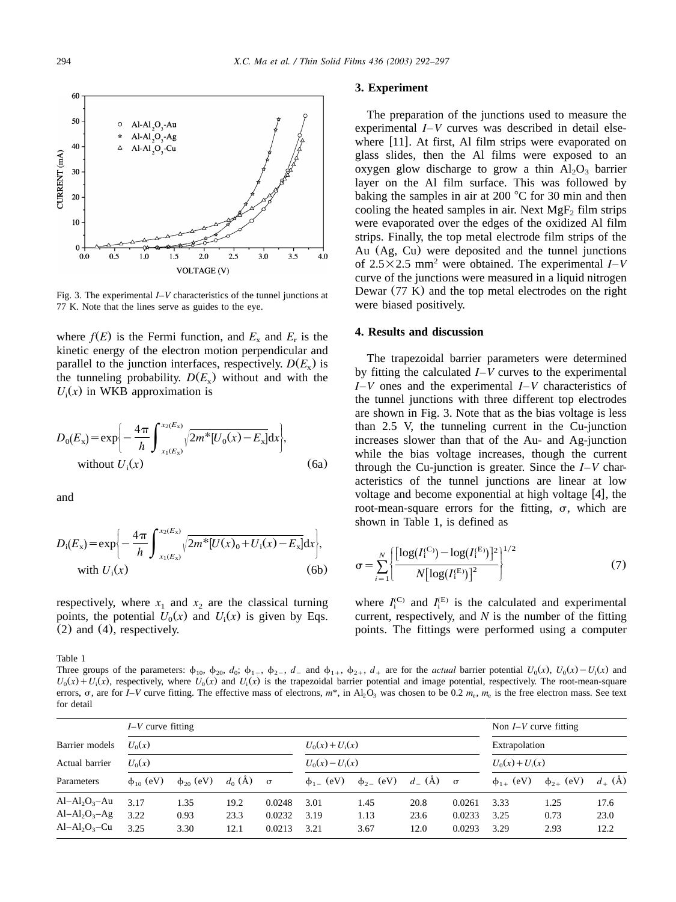<span id="page-2-0"></span>

Fig.3.The experimental *I*–*V* characteristics of the tunnel junctions at 77 K. Note that the lines serve as guides to the eye.

where  $f(E)$  is the Fermi function, and  $E_x$  and  $E_r$  is the kinetic energy of the electron motion perpendicular and parallel to the junction interfaces, respectively.  $D(E_x)$  is the tunneling probability.  $D(E_x)$  without and with the  $U_i(x)$  in WKB approximation is

$$
D_0(E_x) = \exp\left\{-\frac{4\pi}{h} \int_{x_1(E_x)}^{x_2(E_x)} \sqrt{2m^*[U_0(x) - E_x]} dx\right\},\
$$
  
without  $U_1(x)$  (6a)

and

$$
D_{i}(E_{x}) = \exp\left\{-\frac{4\pi}{h}\int_{x_{1}(E_{x})}^{x_{2}(E_{x})}\sqrt{2m^{*}[U(x)_{0}+U_{i}(x)-E_{x}]}dx\right\},\
$$
 with  $U_{i}(x)$  (6b)

respectively, where  $x_1$  and  $x_2$  are the classical turning [points, the potential](#page-1-0)  $U_0(x)$  and  $U_i(x)$  is given by [Eqs.](#page-1-0) (2) [and](#page-1-0) (4), respectively.

Table 1

Three groups of the parameters:  $\phi_{10}$ ,  $\phi_{20}$ ,  $d_0$ ;  $\phi_{1-}$ ,  $\phi_{2-}$ ,  $d_-$  and  $\phi_{1+}$ ,  $\phi_{2+}$ ,  $d_+$  are for the *actual* barrier potential  $U_0(x)$ ,  $U_0(x) - U_1(x)$  and  $U_0(x) + U_i(x)$ , respectively, where  $U_0(x)$  and  $U_i(x)$  is the trapezoidal barrier potential and image potential, respectively. The root-mean-square errors,  $\sigma$ , are for *I–V* curve fitting. The effective mass of electrons,  $m^*$ , in Al<sub>2</sub>O<sub>3</sub> was chosen to be 0.2  $m_e$ ,  $m_e$  is the free electron mass. See text for detail

|                                                   | $I-V$ curve fitting  |                      |                      |                            |                                        |                      |                      |                            | Non $I-V$ curve fitting            |                      |                      |
|---------------------------------------------------|----------------------|----------------------|----------------------|----------------------------|----------------------------------------|----------------------|----------------------|----------------------------|------------------------------------|----------------------|----------------------|
| Barrier models                                    | $U_0(x)$<br>$U_0(x)$ |                      |                      |                            | $U_0(x) + U_i(x)$<br>$U_0(x) - U_i(x)$ |                      |                      |                            | Extrapolation<br>$U_0(x) + U_i(x)$ |                      |                      |
| Actual barrier                                    |                      |                      |                      |                            |                                        |                      |                      |                            |                                    |                      |                      |
| Parameters                                        | $\phi_{10}$ (eV)     | $\phi_{20}$ (eV)     | $d_0(\check{A})$     | $\sigma$                   | $\phi_{1-}$ (eV)                       | $\phi_{2-}$ (eV)     | $d_{-}(\AA)$         | $\sigma$                   | $\phi_{1+}$ (eV)                   | $\phi_{2+}$ (eV)     | $d_{+}$ (Å)          |
| $Al-Al2O3–Au$<br>$Al-Al2O3–Ag$<br>$Al-Al2O3 – Cu$ | 3.17<br>3.22<br>3.25 | 1.35<br>0.93<br>3.30 | 19.2<br>23.3<br>12.1 | 0.0248<br>0.0232<br>0.0213 | 3.01<br>3.19<br>3.21                   | 1.45<br>1.13<br>3.67 | 20.8<br>23.6<br>12.0 | 0.0261<br>0.0233<br>0.0293 | 3.33<br>3.25<br>3.29               | 1.25<br>0.73<br>2.93 | 17.6<br>23.0<br>12.2 |

#### **3. Experiment**

The preparation of the junctions used to measure the experimental *I*–*V* curves was described in detail elsewhere  $[11]$  $[11]$  $[11]$ . At first, Al film strips were evaporated on glass slides, then the Al films were exposed to an oxygen glow discharge to grow a thin  $Al_2O_3$  barrier layer on the Al film surface. This was followed by baking the samples in air at 200  $\degree$ C for 30 min and then cooling the heated samples in air. Next  $MgF_2$  film strips were evaporated over the edges of the oxidized Al film strips. Finally, the top metal electrode film strips of the Au (Ag, Cu) were deposited and the tunnel junctions of  $2.5 \times 2.5$  mm<sup>2</sup> were obtained. The experimental *I*–*V* curve of the junctions were measured in a liquid nitrogen Dewar (77 K) and the top metal electrodes on the right were biased positively.

### **4. Results and discussion**

The trapezoidal barrier parameters were determined by fitting the calculated *I*–*V* curves to the experimental *I*–*V* ones and the experimental *I*–*V* characteristics of the tunnel junctions with three different top electrodes are shown in Fig.3.Note that as the bias voltage is less than 2.5 V, the tunneling current in the Cu-junction increases slower than that of the Au- and Ag-junction while the bias voltage increases, though the current through the Cu-junction is greater. Since the  $I-V$  characteristics of the tunnel junctions are linear at low voltage and become exponential at high voltage  $[4]$  $[4]$  $[4]$ , the root-mean-square errors for the fitting,  $\sigma$ , which are shown in Table 1, is defined as

$$
\sigma = \sum_{i=1}^{N} \left\{ \frac{\left[ \log(I_i^{(C)}) - \log(I_i^{(E)}) \right]^2}{N \left[ \log(I_i^{(E)}) \right]^2} \right\}^{1/2}
$$
(7)

where  $I_i^{(C)}$  and  $I_i^{(E)}$  is the calculated and experimental current, respectively, and *N* is the number of the fitting points.The fittings were performed using a computer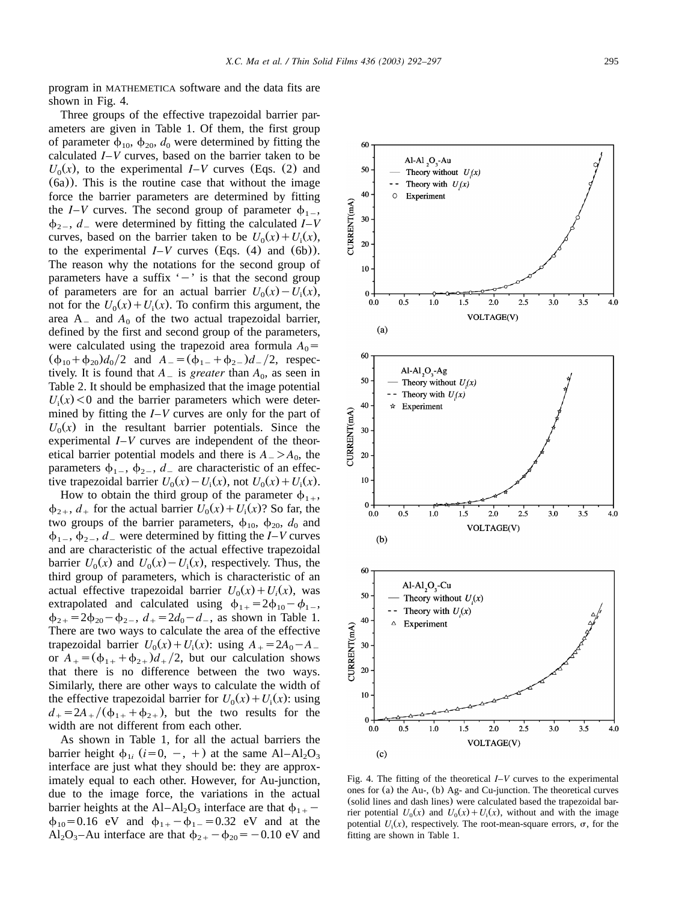program in MATHEMETICA software and the data fits are shown in Fig. 4.

Three groups of the effective trapezoidal barrier parameters are given in [Table 1.](#page-2-0)Of them, the first group of parameter  $\phi_{10}$ ,  $\phi_{20}$ ,  $d_0$  were determined by fitting the calculated *I*–*V* curves, based on the barri[er taken to be](#page-1-0)  $U_0(x)$  $U_0(x)$ , to the experimental *I*–*V* curves (Eqs. (2) and ([6a](#page-1-0))).This is the routine case that without the image force the barrier parameters are determined by fitting the *I*–*V* curves. The second group of parameter  $\phi_{1}$ ,  $\phi_{2}$ , *d* were determined by fitting the calculated *I*–*V* curves, based on the barrier taken to be  $U_0(x) + U_i(x)$ , to the experimental  $I-V$  curves ([Eqs.](#page-1-0) (4) and (6b)). The reason why the notations for the second group of parameters have a suffix  $\dot{y} - \dot{y}$  is that the second group of parameters are for an actual barrier  $U_0(x) - U_i(x)$ , not for the  $U_0(x) + U_i(x)$ . To confirm this argument, the area  $A_$  and  $A_0$  of the two actual trapezoidal barrier, defined by the first and second group of the parameters, were calculated using the trapezoid area formula  $A_0$  =  $(\phi_{10} + \phi_{20})d_0/2$  and  $A_0 = (\phi_{1-} + \phi_{2-})d_0/2$ , respectively. It is found that  $A_{\text{}}$  is *greater* than  $A_0$ , as seen in [Table 2.](#page-4-0)It should be emphasized that the image potential  $U_i(x)$  < 0 and the barrier parameters which were determined by fitting the *I*–*V* curves are only for the part of  $U_0(x)$  in the resultant barrier potentials. Since the experimental *I*–*V* curves are independent of the theoretical barrier potential models and there is  $A_{-} > A_{0}$ , the parameters  $\phi_{1-}$ ,  $\phi_{2-}$ ,  $d_{-}$  are characteristic of an effective trapezoidal barrier  $U_0(x) - U_i(x)$ , not  $U_0(x) + U_i(x)$ .

How to obtain the third group of the parameter  $\phi_{1+}$ ,  $\phi_{2+}$ ,  $d_+$  for the actual barrier  $U_0(x) + U_i(x)$ ? So far, the two groups of the barrier parameters,  $\phi_{10}$ ,  $\phi_{20}$ ,  $d_0$  and  $\phi_{1}$ ,  $\phi_{2}$ , *d* – were determined by fitting the *I*–*V* curves and are characteristic of the actual effective trapezoidal barrier  $U_0(x)$  and  $U_0(x) - U_i(x)$ , respectively. Thus, the third group of parameters, which is characteristic of an actual effective trapezoidal barrier  $U_0(x) + U_i(x)$ , was extrapolated and calculated using  $\phi_{1+} = 2\phi_{10} - \phi_{1-}$ ,  $\phi_{2+} = 2\phi_{20} - \phi_{2-}$ ,  $d_+ = 2d_0 - d_-$ , as shown in [Table 1.](#page-2-0) There are two ways to calculate the area of the effective trapezoidal barrier  $U_0(x) + U_i(x)$ : using  $A_i = 2A_0 - A_i$ or  $A_+$  =  $(\phi_{1+} + \phi_{2+})d_+/2$ , but our calculation shows that there is no difference between the two ways. Similarly, there are other ways to calculate the width of the effective trapezoidal barrier for  $U_0(x) + U_i(x)$ : using  $d_{+} = 2A_{+}/(\phi_{1+} + \phi_{2+})$ , but the two results for the width are not different from each other.

As shown in [Table 1,](#page-2-0) for all the actual barriers the barrier height  $\phi_{1i}$  ( $i=0, -, +$ ) at the same Al–Al<sub>2</sub>O<sub>3</sub> interface are just what they should be: they are approximately equal to each other. However, for Au-junction, due to the image force, the variations in the actual barrier heights at the Al–Al<sub>2</sub>O<sub>3</sub> interface are that  $\phi_{1+}$  –  $\phi_{10} = 0.16$  eV and  $\phi_{1+} - \phi_{1-} = 0.32$  eV and at the Al<sub>2</sub>O<sub>3</sub>-Au interface are that  $\phi_{2+} - \phi_{20} = -0.10 \text{ eV}$  and

Al-Al<sub>2</sub>O<sub>3</sub>-Au Theory without  $U(x)$ Theory with  $U(x)$ Experiment  $0.5$  $1.0$  $2.5$  $3.0$  $3.5$  $1.5$  $2.0$ 

VOLTAGE(V)



Fig.4.The fitting of the theoretical *I*–*V* curves to the experimental ones for (a) the Au-, (b) Ag- and Cu-junction.The theoretical curves (solid lines and dash lines) were calculated based the trapezoidal barrier potential  $U_0(x)$  and  $U_0(x) + U_i(x)$ , without and with the image potential  $U_i(x)$ , respectively. The root-mean-square errors,  $\sigma$ , for the fitting are shown in [Table 1.](#page-2-0)

60

50

40

20

10

 $\Omega$ 

 $0.0$ 

CURRENT(mA) 30  $\Omega$ 

 $4.0$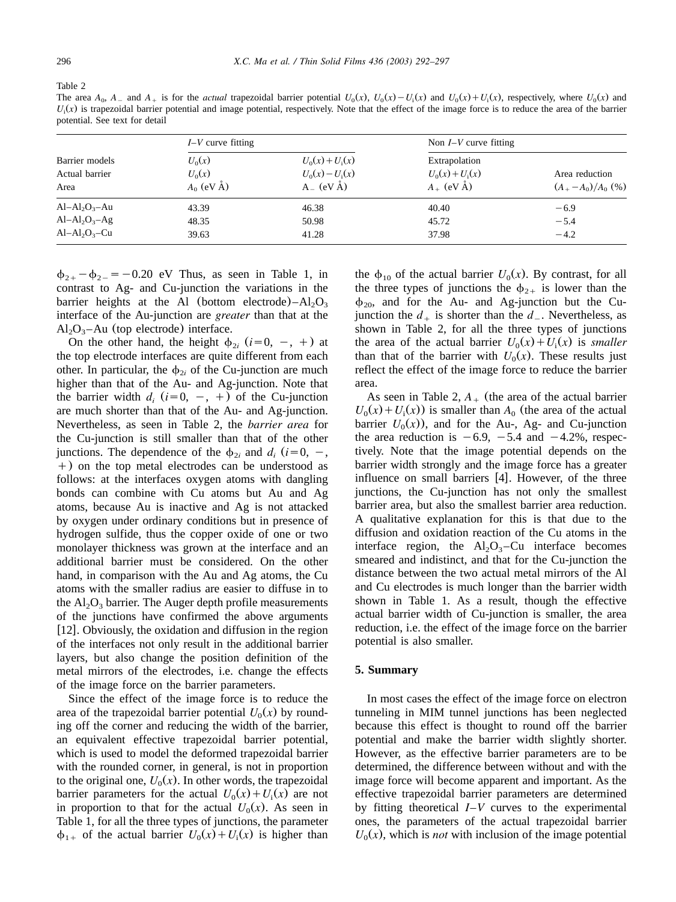<span id="page-4-0"></span>Table 2

The area  $A_0$ ,  $A_-$  and  $A_+$  is for the *actual* trapezoidal barrier potential  $U_0(x)$ ,  $U_0(x) - U_1(x)$  and  $U_0(x) + U_1(x)$ , respectively, where  $U_0(x)$  and  $U_i(x)$  is trapezoidal barrier potential and image potential, respectively. Note that the effect of the image force is to reduce the area of the barrier potential. See text for detail

|                                          | $I-V$ curve fitting                  |                                                          | Non $I-V$ curve fitting                            |                                             |
|------------------------------------------|--------------------------------------|----------------------------------------------------------|----------------------------------------------------|---------------------------------------------|
| Barrier models<br>Actual barrier<br>Area | $U_0(x)$<br>$U_0(x)$<br>$A_0$ (eV Å) | $U_0(x) + U_i(x)$<br>$U_0(x) - U_i(x)$<br>$A_{-}$ (eV Å) | Extrapolation<br>$U_0(x) + U_i(x)$<br>$A_+$ (eV Å) | Area reduction<br>$(A_{+}-A_{0})/A_{0}$ (%) |
| $Al-Al2O3–Au$<br>$Al-Al2O3-Ag$           | 43.39<br>48.35                       | 46.38<br>50.98                                           | 40.40<br>45.72                                     | $-6.9$<br>$-5.4$                            |
| $Al-Al2O3-Cu$                            | 39.63                                | 41.28                                                    | 37.98                                              | $-4.2$                                      |

 $\phi_{2+} - \phi_{2-} = -0.20$  eV Thus, as seen in [Table 1,](#page-2-0) in contrast to Ag- and Cu-junction the variations in the barrier heights at the Al (bottom electrode)– $Al_2O_3$ interface of the Au-junction are *greater* than that at the  $Al_2O_3$ -Au (top electrode) interface.

On the other hand, the height  $\phi_{2i}$  (*i*=0, -, +) at the top electrode interfaces are quite different from each other. In particular, the  $\phi_{2i}$  of the Cu-junction are much higher than that of the Au- and Ag-junction. Note that the barrier width  $d_i$  ( $i=0, -, +$ ) of the Cu-junction are much shorter than that of the Au- and Ag-junction. Nevertheless, as seen in Table 2, the *barrier area* for the Cu-junction is still smaller than that of the other junctions. The dependence of the  $\phi_{2i}$  and  $d_i$  (*i*=0, -,  $+$ ) on the top metal electrodes can be understood as follows: at the interfaces oxygen atoms with dangling bonds can combine with Cu atoms but Au and Ag atoms, because Au is inactive and Ag is not attacked by oxygen under ordinary conditions but in presence of hydrogen sulfide, thus the copper oxide of one or two monolayer thickness was grown at the interface and an additional barrier must be considered. On the other hand, in comparison with the Au and Ag atoms, the Cu atoms with the smaller radius are easier to diffuse in to the  $Al_2O_3$  barrier. The Auger depth profile measurements of the junctions have confirmed the above arguments [[12](#page-5-0)]. Obviously, the oxidation and diffusion in the region of the interfaces not only result in the additional barrier layers, but also change the position definition of the metal mirrors of the electrodes, i.e. change the effects of the image force on the barrier parameters.

Since the effect of the image force is to reduce the area of the trapezoidal barrier potential  $U_0(x)$  by rounding off the corner and reducing the width of the barrier, an equivalent effective trapezoidal barrier potential, which is used to model the deformed trapezoidal barrier with the rounded corner, in general, is not in proportion to the original one,  $U_0(x)$ . In other words, the trapezoidal barrier parameters for the actual  $U_0(x) + U_i(x)$  are not in proportion to that for the actual  $U_0(x)$ . As seen in [Table 1,](#page-2-0) for all the three types of junctions, the parameter  $\phi_{1+}$  of the actual barrier  $U_0(x) + U_i(x)$  is higher than

the  $\phi_{10}$  of the actual barrier  $U_0(x)$ . By contrast, for all the three types of junctions the  $\phi_{2+}$  is lower than the  $\phi_{20}$ , and for the Au- and Ag-junction but the Cujunction the  $d_+$  is shorter than the  $d_-$ . Nevertheless, as shown in Table 2, for all the three types of junctions the area of the actual barrier  $U_0(x) + U_i(x)$  is *smaller* than that of the barrier with  $U_0(x)$ . These results just reflect the effect of the image force to reduce the barrier area.

As seen in Table 2,  $A_{+}$  (the area of the actual barrier  $U_0(x) + U_i(x)$  is smaller than  $A_0$  (the area of the actual barrier  $U_0(x)$ , and for the Au-, Ag- and Cu-junction the area reduction is  $-6.9$ ,  $-5.4$  and  $-4.2$ %, respectively. Note that the image potential depends on the barrier width strongly and the image force has a greater influence on small barriers  $[4]$  $[4]$  $[4]$ . However, of the three junctions, the Cu-junction has not only the smallest barrier area, but also the smallest barrier area reduction. A qualitative explanation for this is that due to the diffusion and oxidation reaction of the Cu atoms in the interface region, the  $Al_2O_3$ –Cu interface becomes smeared and indistinct, and that for the Cu-junction the distance between the two actual metal mirrors of the Al and Cu electrodes is much longer than the barrier width shown in [Table 1.](#page-2-0) As a result, though the effective actual barrier width of Cu-junction is smaller, the area reduction, i.e. the effect of the image force on the barrier potential is also smaller.

## **5. Summary**

In most cases the effect of the image force on electron tunneling in MIM tunnel junctions has been neglected because this effect is thought to round off the barrier potential and make the barrier width slightly shorter. However, as the effective barrier parameters are to be determined, the difference between without and with the image force will become apparent and important. As the effective trapezoidal barrier parameters are determined by fitting theoretical *I*–*V* curves to the experimental ones, the parameters of the actual trapezoidal barrier  $U_0(x)$ , which is *not* with inclusion of the image potential